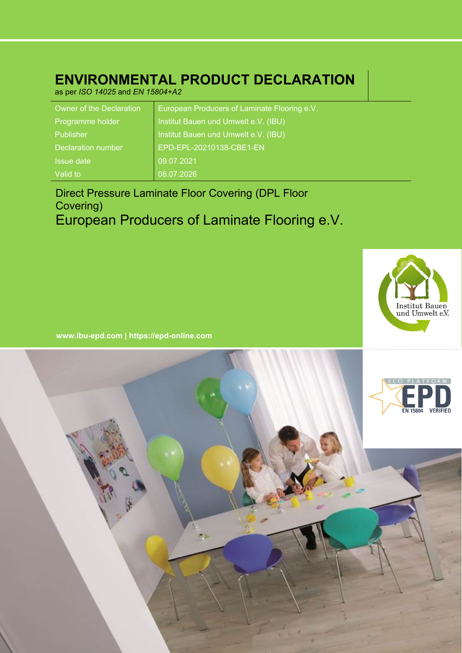# **ENVIRONMENTAL PRODUCT DECLARATION**

as per *ISO 14025* and *EN 15804+A2*

| Owner of the Declaration  | European Producers of Laminate Flooring e.V. |
|---------------------------|----------------------------------------------|
| Programme holder          | Institut Bauen und Umwelt e.V. (IBU)         |
| Publisher                 | Institut Bauen und Umwelt e.V. (IBU)         |
| <b>Declaration number</b> | EPD-EPL-20210138-CBE1-EN                     |
| <b>Issue date</b>         | 09.07.2021                                   |
| Valid to                  | 08.07.2026                                   |

# Direct Pressure Laminate Floor Covering (DPL Floor Covering) European Producers of Laminate Flooring e.V.



**www.ibu-epd.com | https://epd-online.com**

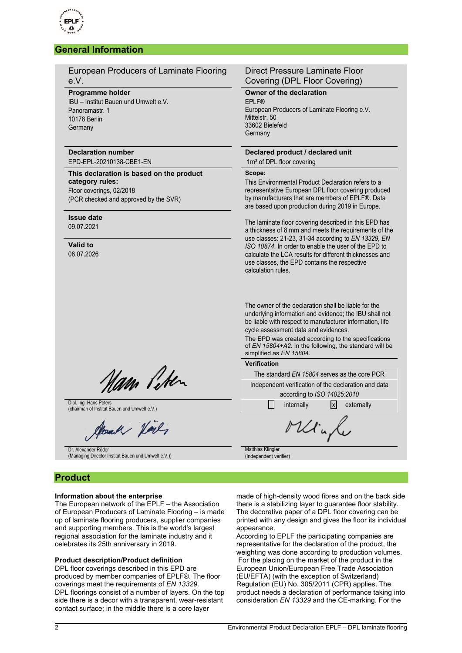

### **General Information**

European Producers of Laminate Flooring e.V.

#### **Programme holder**

IBU – Institut Bauen und Umwelt e.V. Panoramastr. 1 10178 Berlin **Germany** 

### **Declaration number**

EPD-EPL-20210138-CBE1-EN

**This declaration is based on the product category rules:** Floor coverings, 02/2018 (PCR checked and approved by the SVR)

## **Issue date**

09.07.2021

**Valid to** 08.07.2026

### Direct Pressure Laminate Floor Covering (DPL Floor Covering)

**Owner of the declaration** EPLF® European Producers of Laminate Flooring e.V. Mittelstr. 50 33602 Bielefeld **Germany** 

### **Declared product / declared unit**

1m<sup>2</sup> of DPL floor covering

**Scope:**

This Environmental Product Declaration refers to a representative European DPL floor covering produced by manufacturers that are members of EPLF®. Data are based upon production during 2019 in Europe.

The laminate floor covering described in this EPD has a thickness of 8 mm and meets the requirements of the use classes: 21-23, 31-34 according to *EN 13329, EN ISO 10874*. In order to enable the user of the EPD to calculate the LCA results for different thicknesses and use classes, the EPD contains the respective calculation rules.

The owner of the declaration shall be liable for the underlying information and evidence; the IBU shall not be liable with respect to manufacturer information, life cycle assessment data and evidences.

The EPD was created according to the specifications of *EN 15804+A2*. In the following, the standard will be simplified as *EN 15804*.

#### **Verification**

The standard *EN 15804* serves as the core PCR Independent verification of the declaration and data according to *ISO 14025:2010*

made of high-density wood fibres and on the back side there is a stabilizing layer to guarantee floor stability. The decorative paper of a DPL floor covering can be printed with any design and gives the floor its individual

According to EPLF the participating companies are representative for the declaration of the product, the weighting was done according to production volumes. For the placing on the market of the product in the European Union/European Free Trade Association (EU/EFTA) (with the exception of Switzerland)

Minh

Matthias Klingler (Independent verifier)

appearance.

Nam Peter

Dipl. Ing. Hans Peters Dipl. Ing. Hans Peters and Umwelt e.V.) internally internally internally internally  $\Box$  internally externally

Jeank Holes

Dr. Alexander Röder (Managing Director Institut Bauen und Umwelt e.V.))

### **Product**

### **Information about the enterprise**

The European network of the EPLF – the Association of European Producers of Laminate Flooring – is made up of laminate flooring producers, supplier companies and supporting members. This is the world's largest regional association for the laminate industry and it celebrates its 25th anniversary in 2019.

### **Product description/Product definition**

DPL floor coverings described in this EPD are produced by member companies of EPLF®. The floor coverings meet the requirements of *EN 13329*. DPL floorings consist of a number of layers. On the top side there is a decor with a transparent, wear-resistant contact surface; in the middle there is a core layer

Regulation (EU) No. 305/2011 (CPR) applies. The product needs a declaration of performance taking into consideration *EN 13329* and the CE-marking. For the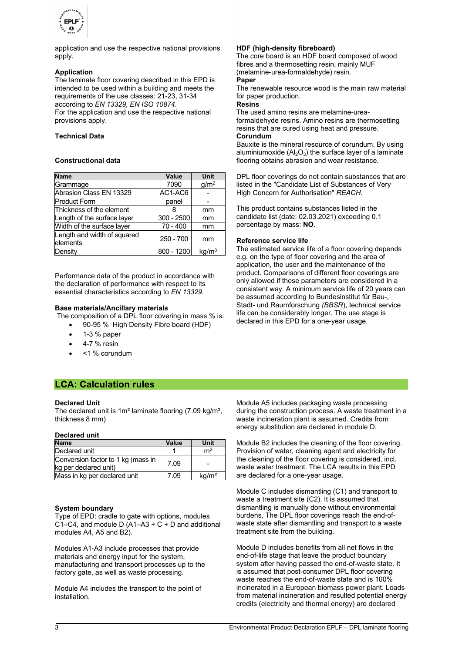

application and use the respective national provisions apply.

### **Application**

The laminate floor covering described in this EPD is intended to be used within a building and meets the requirements of the use classes: 21-23, 31-34 according to *EN 13329, EN ISO 10874*. For the application and use the respective national provisions apply.

### **Technical Data**

### **Constructional data**

| Name                                     | Value       | <b>Unit</b>       |
|------------------------------------------|-------------|-------------------|
| Grammage                                 | 7090        | g/m <sup>2</sup>  |
| Abrasion Class EN 13329                  | AC1-AC6     |                   |
| <b>Product Form</b>                      | panel       |                   |
| Thickness of the element                 | 8           | mm                |
| Length of the surface layer              | 300 - 2500  | mm                |
| Width of the surface layer               | $70 - 400$  | mm                |
| Length and width of squared<br>lelements | $250 - 700$ | mm                |
| Density                                  | 800 - 1200  | kg/m <sup>3</sup> |

Performance data of the product in accordance with the declaration of performance with respect to its essential characteristics according to *EN 13329*.

### **Base materials/Ancillary materials**

The composition of a DPL floor covering in mass % is:

- 90-95 % High Density Fibre board (HDF)
- 1-3 % paper
- 4-7 % resin
- <1 % corundum

### **LCA: Calculation rules**

### **Declared Unit**

The declared unit is 1m² laminate flooring (7.09 kg/m², thickness 8 mm)

### **Declared unit**

| <b>Name</b>                                                 | Value | Unit              |
|-------------------------------------------------------------|-------|-------------------|
| Declared unit                                               |       | m <sup>2</sup>    |
| Conversion factor to 1 kg (mass in<br>kg per declared unit) | 7.09  |                   |
| Mass in kg per declared unit                                | 7.09  | kg/m <sup>2</sup> |

### **System boundary**

Type of EPD: cradle to gate with options, modules C1–C4, and module D  $(A1-A3 + C + D)$  and additional modules A4, A5 and B2).

Modules A1-A3 include processes that provide materials and energy input for the system, manufacturing and transport processes up to the factory gate, as well as waste processing.

Module A4 includes the transport to the point of installation.

### **HDF (high-density fibreboard)**

The core board is an HDF board composed of wood fibres and a thermosetting resin, mainly MUF (melamine-urea-formaldehyde) resin. **Paper**

The renewable resource wood is the main raw material for paper production.

**Resins**

The used amino resins are melamine-ureaformaldehyde resins. Amino resins are thermosetting resins that are cured using heat and pressure. **Corundum**

Bauxite is the mineral resource of corundum. By using aluminiumoxide ( $Al_2O_3$ ) the surface layer of a laminate flooring obtains abrasion and wear resistance.

DPL floor coverings do not contain substances that are listed in the "Candidate List of Substances of Very High Concern for Authorisation" *REACH*.

This product contains substances listed in the candidate list (date: 02.03.2021) exceeding 0.1 percentage by mass: **NO**.

### **Reference service life**

The estimated service life of a floor covering depends e.g. on the type of floor covering and the area of application, the user and the maintenance of the product. Comparisons of different floor coverings are only allowed if these parameters are considered in a consistent way. A minimum service life of 20 years can be assumed according to Bundesinstitut für Bau-, Stadt- und Raumforschung *(BBSR*), technical service life can be considerably longer. The use stage is declared in this EPD for a one-year usage.

Module A5 includes packaging waste processing during the construction process. A waste treatment in a waste incineration plant is assumed. Credits from energy substitution are declared in module D.

Module B2 includes the cleaning of the floor covering. Provision of water, cleaning agent and electricity for the cleaning of the floor covering is considered, incl. waste water treatment. The LCA results in this EPD are declared for a one-year usage.

Module C includes dismantling (C1) and transport to waste a treatment site (C2). It is assumed that dismantling is manually done without environmental burdens, The DPL floor coverings reach the end-ofwaste state after dismantling and transport to a waste treatment site from the building.

Module D includes benefits from all net flows in the end-of-life stage that leave the product boundary system after having passed the end-of-waste state. It is assumed that post-consumer DPL floor covering waste reaches the end-of-waste state and is 100% incinerated in a European biomass power plant. Loads from material incineration and resulted potential energy credits (electricity and thermal energy) are declared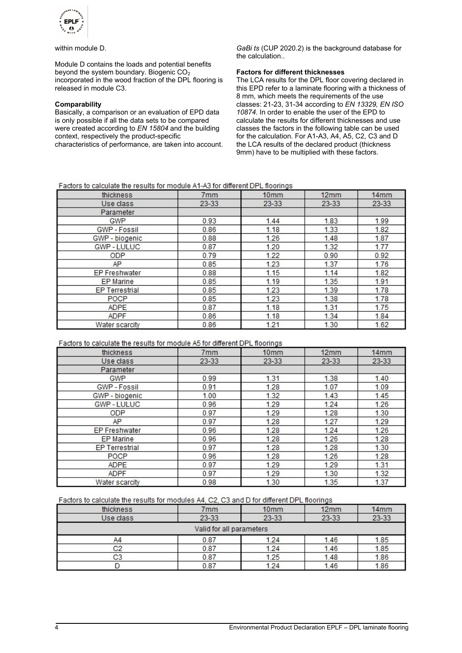

within module D.

Module D contains the loads and potential benefits beyond the system boundary. Biogenic  $CO<sub>2</sub>$ incorporated in the wood fraction of the DPL flooring is released in module C3.

### **Comparability**

Basically, a comparison or an evaluation of EPD data is only possible if all the data sets to be compared were created according to *EN 15804* and the building context, respectively the product-specific characteristics of performance, are taken into account.

*GaBi ts* (CUP 2020.2) is the background database for the calculation..

### **Factors for different thicknesses**

The LCA results for the DPL floor covering declared in this EPD refer to a laminate flooring with a thickness of 8 mm, which meets the requirements of the use classes: 21-23, 31-34 according to *EN 13329, EN ISO 10874*. In order to enable the user of the EPD to calculate the results for different thicknesses and use classes the factors in the following table can be used for the calculation. For A1-A3, A4, A5, C2, C3 and D the LCA results of the declared product (thickness 9mm) have to be multiplied with these factors.

| Factors to calculate the results for module A1-A3 for different DPL floorings |  |  |  |  |
|-------------------------------------------------------------------------------|--|--|--|--|
|-------------------------------------------------------------------------------|--|--|--|--|

| thickness             | 7 <sub>mm</sub> | 10 <sub>mm</sub> | 12mm  | 14mm  |
|-----------------------|-----------------|------------------|-------|-------|
| Use class             | 23-33           | $23 - 33$        | 23-33 | 23-33 |
| Parameter             |                 |                  |       |       |
| GWP                   | 0.93            | 1.44             | 1.83  | 1.99  |
| GWP - Fossil          | 0.86            | 1.18             | 1.33  | 1.82  |
| GWP - biogenic        | 0.88            | 1.26             | 1.48  | 1.87  |
| GWP-LULUC             | 0.87            | 1.20             | 1.32  | 1.77  |
| <b>ODP</b>            | 0.79            | 1.22             | 0.90  | 0.92  |
| AP.                   | 0.85            | 1.23             | 1.37  | 1.76  |
| <b>EP Freshwater</b>  | 0.88            | 1.15             | 1.14  | 1.82  |
| <b>EP</b> Marine      | 0.85            | 1.19             | 1.35  | 1.91  |
| <b>EP Terrestrial</b> | 0.85            | 1.23             | 1.39  | 1.78  |
| <b>POCP</b>           | 0.85            | 1.23             | 1.38  | 1.78  |
| <b>ADPE</b>           | 0.87            | 1.18             | 1.31  | 1.75  |
| <b>ADPF</b>           | 0.86            | 1.18             | 1.34  | 1.84  |
| Water scarcity        | 0.86            | 1.21             | 1.30  | 1.62  |

### Factors to calculate the results for module A5 for different DPL floorings

| thickness             | 7mm     | 10 <sub>mm</sub> | 12mm      | 14mm      |
|-----------------------|---------|------------------|-----------|-----------|
| Use class             | $23-33$ | $23-33$          | $23 - 33$ | $23 - 33$ |
| Parameter             |         |                  |           |           |
| GWP                   | 0.99    | 1.31             | 1.38      | 1.40      |
| GWP - Fossil          | 0.91    | 1.28             | 1.07      | 1.09      |
| GWP - biogenic        | 1.00    | 1.32             | 1.43      | 1.45      |
| <b>GWP-LULUC</b>      | 0.96    | 1.29             | 1.24      | 1.26      |
| <b>ODP</b>            | 0.97    | 1.29             | 1.28      | 1.30      |
| AP.                   | 0.97    | 1.28             | 1.27      | 1.29      |
| <b>EP Freshwater</b>  | 0.96    | 1.28             | 1.24      | 1.26      |
| EP Marine             | 0.96    | 1.28             | 1.26      | 1.28      |
| <b>EP Terrestrial</b> | 0.97    | 1.28             | 1.28      | 1.30      |
| <b>POCP</b>           | 0.96    | 1.28             | 1.26      | 1.28      |
| <b>ADPE</b>           | 0.97    | 1.29             | 1.29      | 1.31      |
| <b>ADPF</b>           | 0.97    | 1.29             | 1.30      | 1.32      |
| Water scarcity        | 0.98    | 1.30             | 1.35      | 1.37      |

### Factors to calculate the results for modules A4, C2, C3 and D for different DPL floorings

| thickness | 7mm                      | 10 <sub>mm</sub> | 12mm  | 14mm  |
|-----------|--------------------------|------------------|-------|-------|
| Use class | $23 - 33$                | 23-33            | 23-33 | 23-33 |
|           | Valid for all parameters |                  |       |       |
| A4        | 0.87                     | 1.24             | 1.46  | 1.85  |
| C2        | 0.87                     | 1.24             | 1.46  | 1.85  |
| C3        | 0.87                     | 1.25             | 1.48  | 1.86  |
|           | 0.87                     | 1.24             | 1.46  | 1.86  |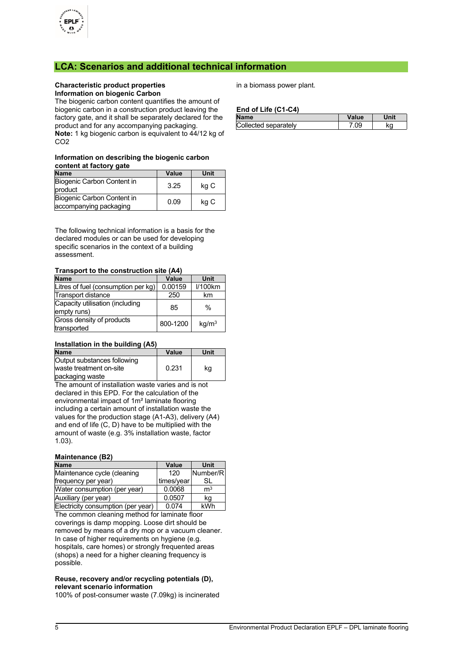

### **LCA: Scenarios and additional technical information**

### **Characteristic product properties Information on biogenic Carbon**

The biogenic carbon content quantifies the amount of biogenic carbon in a construction product leaving the factory gate, and it shall be separately declared for the product and for any accompanying packaging. **Note:** 1 kg biogenic carbon is equivalent to 44/12 kg of

CO2

### **Information on describing the biogenic carbon content at factory gate**

| <b>Name</b>                                          | Value | Unit |
|------------------------------------------------------|-------|------|
| Biogenic Carbon Content in<br>product                | 3.25  | kg C |
| Biogenic Carbon Content in<br>accompanying packaging | 0.09  | kg C |

The following technical information is a basis for the declared modules or can be used for developing specific scenarios in the context of a building assessment.

### **Transport to the construction site (A4)**

| <b>Name</b>                                    | Value    | Unit              |
|------------------------------------------------|----------|-------------------|
| Litres of fuel (consumption per kg)            | 0.00159  | <b>I/100km</b>    |
| Transport distance                             | 250      | km                |
| Capacity utilisation (including<br>empty runs) | 85       | $\%$              |
| Gross density of products<br>transported       | 800-1200 | kg/m <sup>3</sup> |

### **Installation in the building (A5)**

| <b>Name</b>                 | Value | Unit |
|-----------------------------|-------|------|
| Output substances following |       |      |
| waste treatment on-site     | 0.231 | kg   |
| packaging waste             |       |      |

The amount of installation waste varies and is not declared in this EPD. For the calculation of the environmental impact of 1m² laminate flooring including a certain amount of installation waste the values for the production stage (A1-A3), delivery (A4) and end of life (C, D) have to be multiplied with the amount of waste (e.g. 3% installation waste, factor 1.03).

### **Maintenance (B2)**

| <b>Name</b>                        | Value      | Unit           |
|------------------------------------|------------|----------------|
| Maintenance cycle (cleaning        | 120        | Number/R       |
| frequency per year)                | times/year | SL             |
| Water consumption (per year)       | 0.0068     | m <sup>3</sup> |
| Auxiliary (per year)               | 0.0507     | kg             |
| Electricity consumption (per year) | 0.074      | kWh            |

The common cleaning method for laminate floor coverings is damp mopping. Loose dirt should be removed by means of a dry mop or a vacuum cleaner. In case of higher requirements on hygiene (e.g. hospitals, care homes) or strongly frequented areas (shops) a need for a higher cleaning frequency is possible.

### **Reuse, recovery and/or recycling potentials (D), relevant scenario information**

100% of post-consumer waste (7.09kg) is incinerated

in a biomass power plant.

### **End of Life (C1-C4)**

| <b>Name</b>          | Value |    |
|----------------------|-------|----|
| Collected separately | na    | ΚC |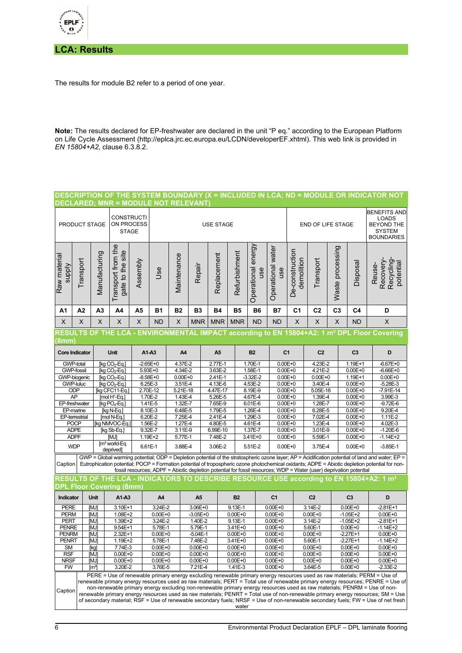

**LCA: Results**

The results for module B2 refer to a period of one year.

**Note:** The results declared for EP-freshwater are declared in the unit "P eq." according to the European Platform on Life Cycle Assessment (http://eplca.jrc.ec.europa.eu/LCDN/developerEF.xhtml). This web link is provided in *EN 15804+A2*, clause 6.3.8.2.

### **DESCRIPTION OF THE SYSTEM BOUNDARY (X = INCLUDED IN LCA; ND = MODULE OR INDICATOR NOT DECLARED; MNR = MODULE NOT RELEVANT)**

|                                                                                                                                                                                                                                                                      | <b>CONSTRUCTI</b><br>ON PROCESS<br><b>PRODUCT STAGE</b><br><b>STAGE</b> |                           |                                        |                             | <b>USE STAGE</b>                           |                         |                |                       |                             |                              |                            | <b>END OF LIFE STAGE</b>              |                        |                  |                                                                                                                     | <b>BENEFITS AND</b><br><b>LOADS</b><br><b>BEYOND THE</b><br><b>SYSTEM</b><br><b>BOUNDARIES</b>                                                                                                                                                                                                     |
|----------------------------------------------------------------------------------------------------------------------------------------------------------------------------------------------------------------------------------------------------------------------|-------------------------------------------------------------------------|---------------------------|----------------------------------------|-----------------------------|--------------------------------------------|-------------------------|----------------|-----------------------|-----------------------------|------------------------------|----------------------------|---------------------------------------|------------------------|------------------|---------------------------------------------------------------------------------------------------------------------|----------------------------------------------------------------------------------------------------------------------------------------------------------------------------------------------------------------------------------------------------------------------------------------------------|
| Raw material<br><b>Alddns</b>                                                                                                                                                                                                                                        | Transport                                                               | Manufacturing             | Transport from the<br>gate to the site | Assembly                    | Jse                                        | Maintenance             | Repair         | Replacement           | Refurbishment               | energy<br>Operational<br>use | Operational water<br>use   | De-construction<br>demolition         | Transport              | Waste processing | Disposal                                                                                                            | Recovery<br>Recycling<br>potential<br>Reuse-                                                                                                                                                                                                                                                       |
| A1                                                                                                                                                                                                                                                                   | A <sub>2</sub>                                                          | A <sub>3</sub>            | A4                                     | A5                          | <b>B1</b>                                  | <b>B2</b>               | B <sub>3</sub> | <b>B4</b>             | <b>B5</b>                   | <b>B6</b>                    | <b>B7</b>                  | C <sub>1</sub>                        | C <sub>2</sub>         | C <sub>3</sub>   | C <sub>4</sub>                                                                                                      | D                                                                                                                                                                                                                                                                                                  |
| X                                                                                                                                                                                                                                                                    | X                                                                       | X                         | X                                      | X                           | <b>ND</b>                                  | X                       | <b>MNR</b>     | <b>MNR</b>            | <b>MNR</b>                  | <b>ND</b>                    | <b>ND</b>                  | X                                     | X                      | X                | <b>ND</b>                                                                                                           | X                                                                                                                                                                                                                                                                                                  |
|                                                                                                                                                                                                                                                                      |                                                                         |                           |                                        |                             |                                            |                         |                |                       |                             |                              |                            |                                       |                        |                  |                                                                                                                     | <u>RESULTS OF THE LCA - ENVIRONMENTAL IMPACT according to EN 15804+A2: 1 m² DPL Floor Covering</u>                                                                                                                                                                                                 |
| (8mmˈ                                                                                                                                                                                                                                                                |                                                                         |                           |                                        |                             |                                            |                         |                |                       |                             |                              |                            |                                       |                        |                  |                                                                                                                     |                                                                                                                                                                                                                                                                                                    |
| <b>Core Indicator</b>                                                                                                                                                                                                                                                |                                                                         | <b>Unit</b>               |                                        |                             | A1-A3                                      |                         | A <sub>4</sub> |                       | <b>B2</b><br>A <sub>5</sub> |                              | C <sub>1</sub>             |                                       | C <sub>2</sub>         |                  | C <sub>3</sub>                                                                                                      | D                                                                                                                                                                                                                                                                                                  |
| <b>GWP-total</b>                                                                                                                                                                                                                                                     |                                                                         |                           | [kg CO <sub>2</sub> -Eq.]              |                             | $-2.65E + 0$                               | 4.37E-2                 |                | 2.77E-1               |                             | 1.70E-1                      | $0.00E + 0$                |                                       | 4.23E-2                |                  | 1.19E+1                                                                                                             | $-6.67E + 0$                                                                                                                                                                                                                                                                                       |
|                                                                                                                                                                                                                                                                      | <b>GWP-fossil</b>                                                       |                           | [kg $CO2$ -Eq.]                        | 5.93E+0                     |                                            | 4.34E-2                 |                | 3.63E-2               | 1.58E-1                     |                              | $0.00E + 0$                |                                       | 4.21E-2                |                  | $0.00E + 0$                                                                                                         | $-6.66E + 0$                                                                                                                                                                                                                                                                                       |
|                                                                                                                                                                                                                                                                      | GWP-biogenic<br>[kg $CO2$ -Eq.]                                         |                           |                                        | $-8.58E + 0$<br>$0.00E + 0$ |                                            |                         | 2.41E-1        |                       | $-3.32E - 2$                | $0.00E + 0$                  |                            | $0.00E + 0$                           |                        | 1.19E+1          | $0.00E + 0$                                                                                                         |                                                                                                                                                                                                                                                                                                    |
|                                                                                                                                                                                                                                                                      | <b>GWP-luluc</b><br>$\overline{[kg CO_2-Eq.]}$                          |                           |                                        |                             | 6.25E-3<br>3.51E-4<br>2.70E-12<br>5.21E-18 |                         |                | $4.13E-6$<br>4.47E-17 |                             | 4.53E-2                      | $0.00E + 0$                |                                       | 3.40E-4                |                  | $0.00E + 0$<br>$0.00E + 0$                                                                                          | $-5.28E - 3$<br>$-7.91E - 14$                                                                                                                                                                                                                                                                      |
| ODP                                                                                                                                                                                                                                                                  |                                                                         |                           | [kg CFC11-Eq.]<br>$[mol H+-Eq.]$       |                             | 1.70E-2<br>1.43E-4                         |                         | 5.26E-5        |                       |                             | 8.19E-9                      | $0.00E + 0$                |                                       | 5.05E-18<br>1.39E-4    |                  | $0.00E + 0$                                                                                                         | 3.99E-3                                                                                                                                                                                                                                                                                            |
| AP<br>EP-freshwater                                                                                                                                                                                                                                                  |                                                                         | [kg $PO4$ -Eq.]           |                                        |                             | 1.41E-5<br>1.32E-7                         |                         |                | 7.65E-9               | 4.67E-4<br>6.01E-6          |                              |                            | $0.00E + 0$<br>$0.00E + 0$<br>1.28E-7 |                        |                  | $0.00E + 0$                                                                                                         | $-9.72E - 6$                                                                                                                                                                                                                                                                                       |
| EP-marine                                                                                                                                                                                                                                                            |                                                                         |                           | [kg N-Eq.]                             |                             | 8.10E-3<br>6.48E-5                         |                         |                | 1.79E-5               |                             | 1.26E-4<br>$0.00E + 0$       |                            |                                       | 6.28E-5                |                  | $0.00E + 0$                                                                                                         | 9.20E-4                                                                                                                                                                                                                                                                                            |
| EP-terrestrial                                                                                                                                                                                                                                                       |                                                                         | [mol N-Eq.]               |                                        |                             | 6.20E-2<br>7.25E-4                         |                         |                | 2.41E-4               |                             | 1.29E-3                      | $0.00E + 0$                |                                       | 7.02E-4                |                  | $0.00E + 0$                                                                                                         | 1.11E-2                                                                                                                                                                                                                                                                                            |
| <b>POCP</b>                                                                                                                                                                                                                                                          |                                                                         | [kg NMVOC-Eq.]            |                                        |                             | 1.56E-2<br>1.27E-4                         |                         |                | 4.80E-5               |                             | 4.61E-4                      | $0.00E + 0$                |                                       | 1.23E-4                |                  | $0.00E + 0$                                                                                                         | 4.02E-3                                                                                                                                                                                                                                                                                            |
| <b>ADPE</b>                                                                                                                                                                                                                                                          |                                                                         | [kg Sb-Eq.]               |                                        |                             | 9.32E-7                                    | 3.11E-9                 |                | 6.99E-10              |                             |                              | 1.37E-7<br>$0.00E + 0$     |                                       | 3.01E-9                |                  | $0.00E + 0$                                                                                                         | $-1.20E - 6$                                                                                                                                                                                                                                                                                       |
| <b>ADPF</b>                                                                                                                                                                                                                                                          |                                                                         | [MJ]                      |                                        |                             | 1.19E+2<br>5.77E-1                         |                         |                | 7.48E-2               |                             | 3.41E+0                      |                            | $0.00E + 0$                           | 5.59E-1                |                  | $0.00E + 0$                                                                                                         | $-1.14E+2$                                                                                                                                                                                                                                                                                         |
|                                                                                                                                                                                                                                                                      | <b>WDP</b>                                                              |                           | $[m3$ world-Eq<br>deprived]            |                             | 6.61E-1<br>3.88E-4                         |                         | 3.06E-2        |                       | 5.51E-2                     |                              |                            | $0.00E + 0$<br>3.75E-4                |                        |                  | $0.00E + 0$                                                                                                         | $-3.85E-1$                                                                                                                                                                                                                                                                                         |
| Caption                                                                                                                                                                                                                                                              |                                                                         |                           |                                        |                             |                                            |                         |                |                       |                             |                              |                            |                                       |                        |                  | fossil resources; ADPF = Abiotic depletion potential for fossil resources; WDP = Water (user) deprivation potential | GWP = Global warming potential; ODP = Depletion potential of the stratospheric ozone layer; AP = Acidification potential of land and water; EP =<br>Eutrophication potential; POCP = Formation potential of tropospheric ozone photochemical oxidants; ADPE = Abiotic depletion potential for non- |
|                                                                                                                                                                                                                                                                      |                                                                         |                           |                                        |                             |                                            |                         |                |                       |                             |                              |                            |                                       |                        |                  |                                                                                                                     | RESULTS OF THE LCA - INDICATORS TO DESCRIBE RESOURCE USE according to EN 15804+A2: 1 $\text{m}^2$                                                                                                                                                                                                  |
|                                                                                                                                                                                                                                                                      |                                                                         |                           | <b>DPL Floor Covering (8mm</b> )       |                             |                                            |                         |                |                       |                             |                              |                            |                                       |                        |                  |                                                                                                                     |                                                                                                                                                                                                                                                                                                    |
| Indicator                                                                                                                                                                                                                                                            |                                                                         | Unit                      | A1-A3                                  |                             | A4                                         |                         | A <sub>5</sub> |                       | <b>B2</b>                   |                              | C <sub>1</sub>             |                                       | C <sub>2</sub>         |                  | C <sub>3</sub>                                                                                                      | D                                                                                                                                                                                                                                                                                                  |
| <b>PERE</b>                                                                                                                                                                                                                                                          |                                                                         | [MJ]                      | 3.10E+1                                |                             | 3.24E-2                                    |                         | $3.06E + 0$    |                       | 9.13E-1                     |                              | $0.00E + 0$                |                                       | $3.14E - 2$            |                  | $0.00E + 0$                                                                                                         | $-2.81E+1$                                                                                                                                                                                                                                                                                         |
| <b>PERM</b>                                                                                                                                                                                                                                                          |                                                                         | [MJ]                      | $1.08E + 2$                            |                             | $0.00E + 0$                                |                         | $-3.05E + 0$   |                       | $0.00E + 0$                 |                              | $0.00E + 0$                |                                       | $0.00E + 0$            |                  | $-1.05E + 2$                                                                                                        | $0.00E + 0$                                                                                                                                                                                                                                                                                        |
| <b>PERT</b>                                                                                                                                                                                                                                                          |                                                                         | [MJ]                      | $1.39E + 2$                            |                             | 3.24E-2                                    |                         | 1.40E-2        |                       | 9.13E-1                     |                              | $0.00E + 0$                |                                       | $3.14E-2$              |                  | $-1.05E + 2$                                                                                                        | $-2.81E+1$                                                                                                                                                                                                                                                                                         |
| <b>PENRE</b>                                                                                                                                                                                                                                                         |                                                                         | [MJ]                      | 9.54E+1                                |                             | 5.78E-1                                    |                         | 5.79E-1        |                       | 3.41E+0                     |                              | $0.00E + 0$                |                                       | 5.60E-1                |                  | $0.00E + 0$                                                                                                         | $-1.14E+2$                                                                                                                                                                                                                                                                                         |
| <b>PENRM</b><br>PENRT                                                                                                                                                                                                                                                |                                                                         | <b>IMJI</b><br>[MJ]       | $2.32E+1$<br>1.19E+2                   | $0.00E + 0$                 |                                            | $-5.04E - 1$<br>7.48E-2 |                |                       | $0.00E + 0$<br>$3.41E + 0$  |                              | $0.00E + 0$<br>$0.00E + 0$ |                                       | $0.00E + 0$<br>5.60E-1 |                  | $-2.27E+1$<br>$-2.27E+1$                                                                                            | $0.00E + 0$<br>$-1.14E+2$                                                                                                                                                                                                                                                                          |
| <b>SM</b>                                                                                                                                                                                                                                                            |                                                                         | [kg]                      | 7.74E-3                                | 5.78E-1<br>$0.00E + 0$      |                                            | $0.00E + 0$             |                |                       | $0.00E + 0$                 |                              | $0.00E + 0$                |                                       | $0.00E + 0$            |                  | $0.00E + 0$                                                                                                         | $0.00E + 0$                                                                                                                                                                                                                                                                                        |
| <b>RSF</b>                                                                                                                                                                                                                                                           |                                                                         | [MJ]                      | $0.00E + 0$                            |                             | $0.00E + 0$                                |                         | $0.00E + 0$    |                       | $0.00E + 0$                 |                              | $0.00E + 0$                |                                       | $0.00E + 0$            |                  | $0.00E + 0$                                                                                                         | $0.00E + 0$                                                                                                                                                                                                                                                                                        |
| <b>NRSF</b>                                                                                                                                                                                                                                                          |                                                                         | [MJ]                      | $0.00E + 0$                            |                             | $0.00E + 0$                                |                         | $0.00E + 0$    |                       | $0.00E + 0$                 |                              | $0.00E + 0$                | $0.00E + 0$                           |                        |                  | $0.00E + 0$                                                                                                         | $0.00E + 0$                                                                                                                                                                                                                                                                                        |
| FW                                                                                                                                                                                                                                                                   |                                                                         | $\left[\text{m}^3\right]$ | 3.20E-2                                |                             | 3.76E-5                                    |                         | $7.21E-4$      |                       | $1.41E - 3$                 |                              | $0.00E + 0$                |                                       | 3.64E-5                |                  | $0.00E + 0$                                                                                                         | $-2.33E-2$                                                                                                                                                                                                                                                                                         |
|                                                                                                                                                                                                                                                                      |                                                                         |                           |                                        |                             |                                            |                         |                |                       |                             |                              |                            |                                       |                        |                  |                                                                                                                     | PERE = Use of renewable primary energy excluding renewable primary energy resources used as raw materials; PERM = Use of                                                                                                                                                                           |
| Caption                                                                                                                                                                                                                                                              |                                                                         |                           |                                        |                             |                                            |                         |                |                       |                             |                              |                            |                                       |                        |                  |                                                                                                                     | renewable primary energy resources used as raw materials; PERT = Total use of renewable primary energy resources; PENRE = Use of<br>non-renewable primary energy excluding non-renewable primary energy resources used as raw materials; PENRM = Use of non-                                       |
| renewable primary energy resources used as raw materials; PENRT = Total use of non-renewable primary energy resources; SM = Use<br>of secondary material; RSF = Use of renewable secondary fuels; NRSF = Use of non-renewable secondary fuels; FW = Use of net fresh |                                                                         |                           |                                        |                             |                                            |                         |                |                       |                             |                              |                            |                                       |                        |                  |                                                                                                                     |                                                                                                                                                                                                                                                                                                    |
|                                                                                                                                                                                                                                                                      |                                                                         |                           |                                        |                             |                                            |                         |                |                       | water                       |                              |                            |                                       |                        |                  |                                                                                                                     |                                                                                                                                                                                                                                                                                                    |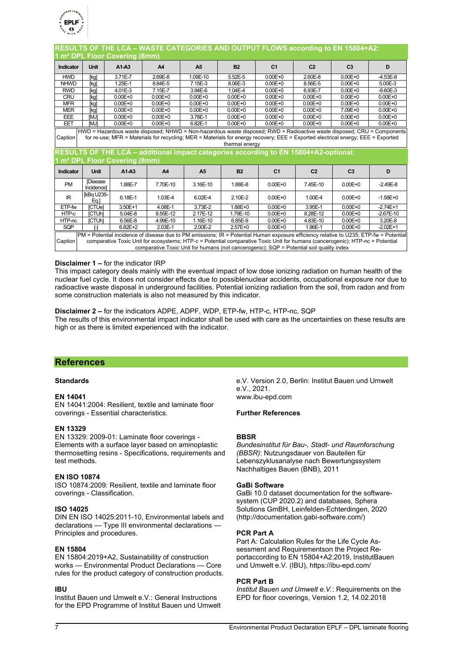

| RESULTS OF THE LCA – WASTE CATEGORIES AND OUTPUT FLOWS according to EN 15804+A2:                                                                                                                                                                                                                                                                                                                                              |                              |             |                |                |             |                |                |                |              |
|-------------------------------------------------------------------------------------------------------------------------------------------------------------------------------------------------------------------------------------------------------------------------------------------------------------------------------------------------------------------------------------------------------------------------------|------------------------------|-------------|----------------|----------------|-------------|----------------|----------------|----------------|--------------|
| 1 m <sup>2</sup> DPL Floor Covering (8mm)                                                                                                                                                                                                                                                                                                                                                                                     |                              |             |                |                |             |                |                |                |              |
| Indicator                                                                                                                                                                                                                                                                                                                                                                                                                     | <b>Unit</b>                  | $A1-A3$     | A <sub>4</sub> | A <sub>5</sub> | <b>B2</b>   | C <sub>1</sub> | C <sub>2</sub> | C <sub>3</sub> | D            |
| <b>HWD</b>                                                                                                                                                                                                                                                                                                                                                                                                                    | [kg]                         | 3.71E-7     | 2.69E-8        | 1.09E-10       | 5.52E-5     | $0.00E + 0$    | 2.60E-8        | $0.00E + 0$    | $-4.53E-8$   |
| <b>NHWD</b>                                                                                                                                                                                                                                                                                                                                                                                                                   | [kg]                         | 1.25E-1     | 8.84E-5        | 7.15E-3        | 8.06E-3     | $0.00E + 0$    | 8.56E-5        | $0.00E + 0$    | 5.00E-3      |
| <b>RWD</b>                                                                                                                                                                                                                                                                                                                                                                                                                    | [kg]                         | 4.01E-3     | 7.15E-7        | 3.94E-6        | 1.04E-4     | $0.00E + 0$    | 6.93E-7        | $0.00E + 0$    | $-9.60E-3$   |
| <b>CRU</b>                                                                                                                                                                                                                                                                                                                                                                                                                    | [kg]                         | $0.00E + 0$ | $0.00E + 0$    | $0.00E + 0$    | $0.00E + 0$ | $0.00E + 0$    | $0.00E + 0$    | $0.00E + 0$    | $0.00E + 0$  |
| <b>MFR</b>                                                                                                                                                                                                                                                                                                                                                                                                                    | [kg]                         | $0.00E + 0$ | $0.00E + 0$    | $0.00E + 0$    | $0.00E + 0$ | $0.00E + 0$    | $0.00E + 0$    | $0.00E + 0$    | $0.00E + 0$  |
| <b>MER</b>                                                                                                                                                                                                                                                                                                                                                                                                                    | [kg]                         | $0.00E + 0$ | $0.00E + 0$    | $0.00E + 0$    | $0.00E + 0$ | $0.00E + 0$    | $0.00E + 0$    | 7.09E+0        | $0.00E + 0$  |
| EEE                                                                                                                                                                                                                                                                                                                                                                                                                           | <b>MJI</b>                   | $0.00E + 0$ | $0.00E + 0$    | 3.78E-1        | $0.00E + 0$ | $0.00E + 0$    | $0.00E + 0$    | $0.00E + 0$    | $0.00E + 0$  |
| EET                                                                                                                                                                                                                                                                                                                                                                                                                           | [MJ]                         | $0.00E + 0$ | $0.00E + 0$    | 6.82E-1        | $0.00E + 0$ | $0.00E + 0$    | $0.00E + 0$    | $0.00E + 0$    | $0.00E + 0$  |
| HWD = Hazardous waste disposed; NHWD = Non-hazardous waste disposed; RWD = Radioactive waste disposed; CRU = Components<br>for re-use; MFR = Materials for recycling; MER = Materials for energy recovery; EEE = Exported electrical energy; EEE = Exported<br>Caption<br>thermal energy<br>RESULTS OF THE LCA – additional impact categories according to EN 15804+A2-optional:<br>1 m <sup>2</sup> DPL Floor Covering (8mm) |                              |             |                |                |             |                |                |                |              |
|                                                                                                                                                                                                                                                                                                                                                                                                                               |                              |             |                |                |             |                |                |                |              |
| <b>Indicator</b>                                                                                                                                                                                                                                                                                                                                                                                                              | <b>Unit</b>                  | $A1-A3$     | A <sub>4</sub> | A <sub>5</sub> | <b>B2</b>   | C <sub>1</sub> | C <sub>2</sub> | C <sub>3</sub> | D            |
| <b>PM</b>                                                                                                                                                                                                                                                                                                                                                                                                                     | <b>Disease</b><br>Incidencel | 1.88E-7     | 7.70E-10       | 3.16E-10       | 1.88E-8     | $0.00E + 0$    | 7.45E-10       | $0.00E + 0$    | $-2.49E - 8$ |
| <b>IR</b>                                                                                                                                                                                                                                                                                                                                                                                                                     | [kBq U235-<br>Eq.            | 6.18E-1     | 1.03E-4        | 6.02E-4        | $2.10E - 2$ | $0.00E + 0$    | 1.00E-4        | $0.00E + 0$    | $-1.58E + 0$ |
| ETP-fw                                                                                                                                                                                                                                                                                                                                                                                                                        | <b>ICTUel</b>                | 3.50E+1     | 4.08E-1        | 3.73E-2        | 1.88E+0     | $0.00E + 0$    | 3.95E-1        | $0.00E + 0$    | $-2.74E+1$   |
| HTP-c                                                                                                                                                                                                                                                                                                                                                                                                                         | [CTUh]                       | 5.04E-8     | 8.55E-12       | 2.17E-12       | 1.79E-10    | $0.00E + 0$    | 8.28E-12       | $0.00E + 0$    | $-2.67E-10$  |
| HTP-nc                                                                                                                                                                                                                                                                                                                                                                                                                        | [CTUh]                       | 6.56E-8     | 4.99E-10       | 1.16E-10       | 6.85E-9     | $0.00E + 0$    | 4.83E-10       | $0.00E + 0$    | 3.20E-8      |
| SQP                                                                                                                                                                                                                                                                                                                                                                                                                           | ſ-1                          | $6.82E + 2$ | 2.03E-1        | 2.00E-2        | $2.57E + 0$ | $0.00E + 0$    | 1.96E-1        | $0.00E + 0$    | $-2.02E+1$   |

### **Disclaimer 1 –** for the indicator IRP

This impact category deals mainly with the eventual impact of low dose ionizing radiation on human health of the nuclear fuel cycle. It does not consider effects due to possiblenuclear accidents, occupational exposure nor due to radioactive waste disposal in underground facilities. Potential ionizing radiation from the soil, from radon and from some construction materials is also not measured by this indicator.

**Disclaimer 2 –** for the indicators ADPE, ADPF, WDP, ETP-fw, HTP-c, HTP-nc, SQP The results of this environmental impact indicator shall be used with care as the uncertainties on these results are high or as there is limited experienced with the indicator.

### **References**

### **Standards**

### **EN 14041**

EN 14041:2004: Resilient, textile and laminate floor coverings - Essential characteristics.

### **EN 13329**

EN 13329: 2009-01: Laminate floor coverings - Elements with a surface layer based on aminoplastic thermosetting resins - Specifications, requirements and test methods.

### **EN ISO 10874**

ISO 10874:2009: Resilient, textile and laminate floor coverings - Classification.

### **ISO 14025**

DIN EN ISO 14025:2011-10, Environmental labels and declarations — Type III environmental declarations — Principles and procedures.

### **EN 15804**

EN 15804:2019+A2, Sustainability of construction works — Environmental Product Declarations — Core rules for the product category of construction products.

### **IBU**

Institut Bauen und Umwelt e.V.: General Instructions for the EPD Programme of Institut Bauen und Umwelt e.V. Version 2.0, Berlin: Institut Bauen und Umwelt e.V., 2021. www.ibu-epd.com

### **Further References**

### **BBSR**

*Bundesinstitut für Bau-, Stadt- und Raumforschung (BBSR)*: Nutzungsdauer von Bauteilen für Lebenszyklusanalyse nach Bewertungssystem Nachhaltiges Bauen (BNB), 2011

#### **GaBi Software**

GaBi 10.0 dataset documentation for the softwaresystem (CUP 2020.2) and databases, Sphera Solutions GmBH, Leinfelden-Echterdingen, 2020 (http://documentation.gabi-software.com/)

### **PCR Part A**

Part A: Calculation Rules for the Life Cycle Assessment and Requirementson the Project Reportaccording to EN 15804+A2:2019, InstitutBauen und Umwelt e.V. (IBU), https://ibu-epd.com/

#### **PCR Part B**

*Institut Bauen und Umwelt e.V.*: Requirements on the EPD for floor coverings, Version 1.2, 14.02.2018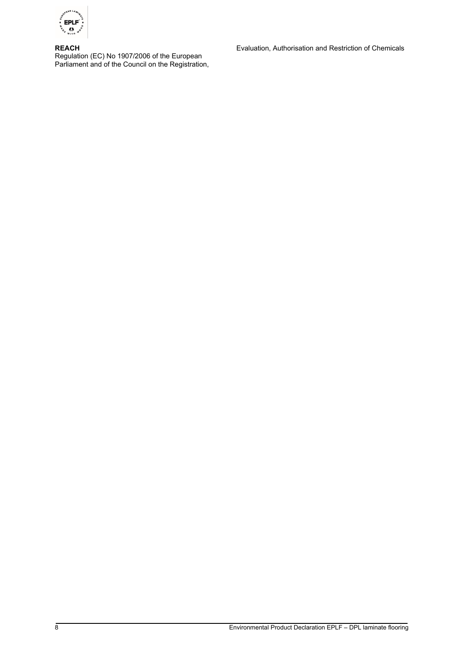

**REACH** Regulation (EC) No 1907/2006 of the European Parliament and of the Council on the Registration, Evaluation, Authorisation and Restriction of Chemicals